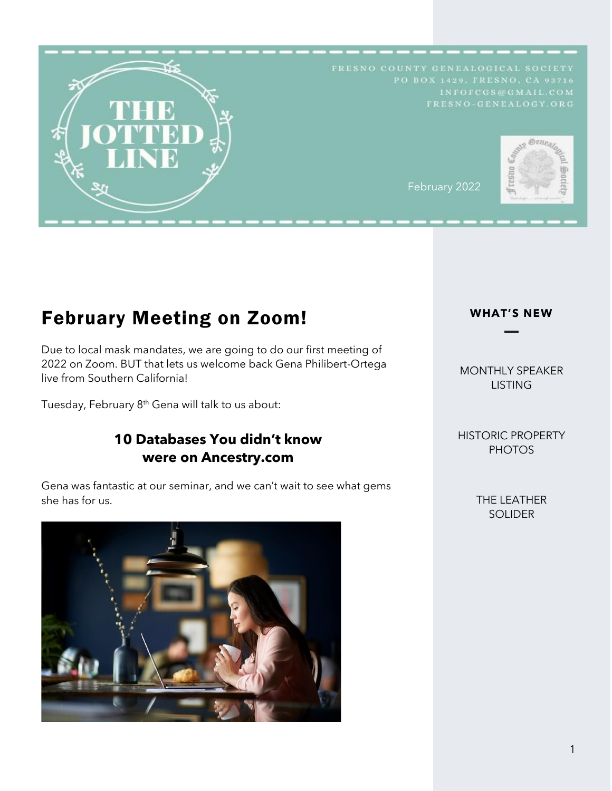

# February Meeting on Zoom!

Due to local mask mandates, we are going to do our first meeting of 2022 on Zoom. BUT that lets us welcome back Gena Philibert-Ortega live from Southern California!

Tuesday, February 8<sup>th</sup> Gena will talk to us about:

# **10 Databases You didn't know were on Ancestry.com**

Gena was fantastic at our seminar, and we can't wait to see what gems she has for us.



#### **WHAT'S NEW**

# MONTHLY SPEAKER **LISTING**

HISTORIC PROPERTY PHOTOS

> THE LEATHER SOLIDER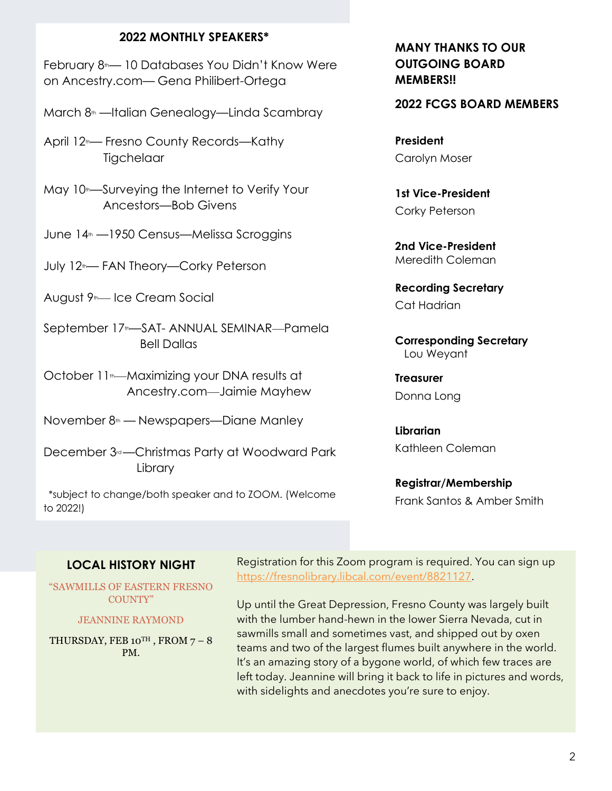## **2022 MONTHLY SPEAKERS\***

February 8<sup>th</sup>— 10 Databases You Didn't Know Were on Ancestry.com— Gena Philibert-Ortega

March 8<sup>th</sup> —Italian Genealogy—Linda Scambray

April 12<sup>th</sup>— Fresno County Records—Kathy **Tigchelaar** 

- May 10<sup>th</sup>—Surveying the Internet to Verify Your Ancestors—Bob Givens
- June 14<sup>th</sup> —1950 Census—Melissa Scroggins

July 12<sup>th</sup>— FAN Theory—Corky Peterson

August 9<sup>th</sup>— Ice Cream Social

- September 17<sup>th</sup>—SAT- ANNUAL SEMINAR—Pamela Bell Dallas
- October 11<sup>th</sup>—Maximizing your DNA results at Ancestry.com—Jaimie Mayhew

November 8<sup>th</sup> — Newspapers—Diane Manley

December 3<sup>rd</sup> — Christmas Party at Woodward Park Library

\*subject to change/both speaker and to ZOOM. (Welcome to 2022!)

# **MANY THANKS TO OUR OUTGOING BOARD MEMBERS!!**

#### **2022 FCGS BOARD MEMBERS**

**President** Carolyn Moser

**1st Vice-President** Corky Peterson

**2nd Vice-President** Meredith Coleman

**Recording Secretary** Cat Hadrian

**Corresponding Secretary** Lou Weyant

**Treasurer** Donna Long

**Librarian** Kathleen Coleman

**Registrar/Membership** Frank Santos & Amber Smith

# **LOCAL HISTORY NIGHT**

"SAWMILLS OF EASTERN FRESNO COUNTY"

#### JEANNINE RAYMOND

THURSDAY, FEB 10TH, FROM  $7 - 8$ PM.

Registration for this Zoom program is required. You can sign up [https://fresnolibrary.libcal.com/event/8821127.](https://fresnolibrary.libcal.com/event/8821127)

Up until the Great Depression, Fresno County was largely built with the lumber hand-hewn in the lower Sierra Nevada, cut in sawmills small and sometimes vast, and shipped out by oxen teams and two of the largest flumes built anywhere in the world. It's an amazing story of a bygone world, of which few traces are left today. Jeannine will bring it back to life in pictures and words, with sidelights and anecdotes you're sure to enjoy.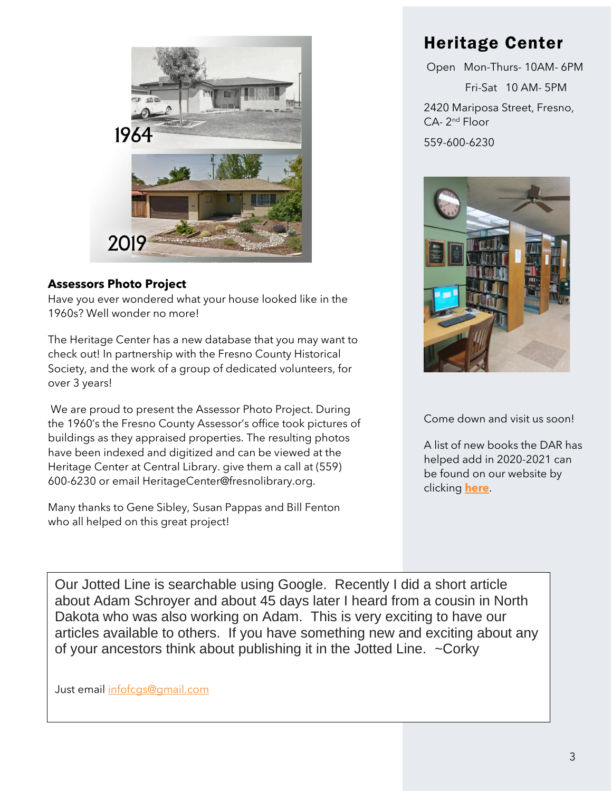

# **Assessors Photo Project**

Have you ever wondered what your house looked like in the 1960s? Well wonder no more!

The Heritage Center has a new database that you may want to check out! In partnership with the Fresno County Historical Society, and the work of a group of dedicated volunteers, for over 3 years!

We are proud to present the Assessor Photo Project. During the 1960's the Fresno County Assessor's office took pictures of buildings as they appraised properties. The resulting photos have been indexed and digitized and can be viewed at the Heritage Center at Central Library. give them a call at (559) 600-6230 or email HeritageCenter@fresnolibrary.org.

Many thanks to Gene Sibley, Susan Pappas and Bill Fenton who all helped on this great project!

# Heritage Center

Open Mon-Thurs- 10AM- 6PM Fri-Sat 10 AM- 5PM 2420 Mariposa Street, Fresno, CA- 2<sup>nd</sup> Floor 559-600-6230



Come down and visit us soon!

A list of new books the DAR has helped add in 2020-2021 can be found on our website by clicking **[here](https://fresno-genealogy.org/resources/Documents/misc/The%20Court%20Systems.pdf)**.

Our Jotted Line is searchable using Google. Recently I did a short article about Adam Schroyer and about 45 days later I heard from a cousin in North Dakota who was also working on Adam. This is very exciting to have our articles available to others. If you have something new and exciting about any of your ancestors think about publishing it in the Jotted Line. ~Corky

Just email [infofcgs@gmail.com](mailto:infofcgs@gmail.com)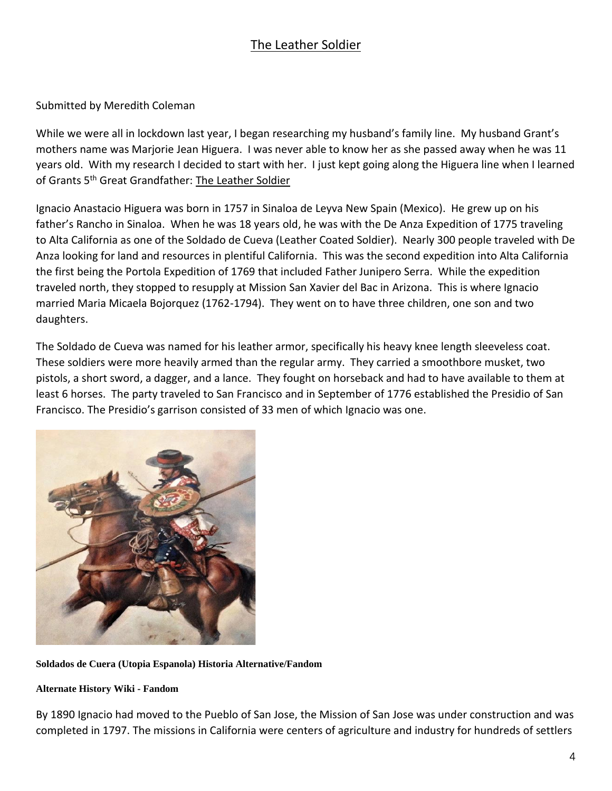# The Leather Soldier

## Submitted by Meredith Coleman

While we were all in lockdown last year, I began researching my husband's family line. My husband Grant's mothers name was Marjorie Jean Higuera. I was never able to know her as she passed away when he was 11 years old. With my research I decided to start with her. I just kept going along the Higuera line when I learned of Grants 5<sup>th</sup> Great Grandfather: The Leather Soldier

Ignacio Anastacio Higuera was born in 1757 in Sinaloa de Leyva New Spain (Mexico). He grew up on his father's Rancho in Sinaloa. When he was 18 years old, he was with the De Anza Expedition of 1775 traveling to Alta California as one of the Soldado de Cueva (Leather Coated Soldier). Nearly 300 people traveled with De Anza looking for land and resources in plentiful California. This was the second expedition into Alta California the first being the Portola Expedition of 1769 that included Father Junipero Serra. While the expedition traveled north, they stopped to resupply at Mission San Xavier del Bac in Arizona. This is where Ignacio married Maria Micaela Bojorquez (1762-1794). They went on to have three children, one son and two daughters.

The Soldado de Cueva was named for his leather armor, specifically his heavy knee length sleeveless coat. These soldiers were more heavily armed than the regular army. They carried a smoothbore musket, two pistols, a short sword, a dagger, and a lance. They fought on horseback and had to have available to them at least 6 horses. The party traveled to San Francisco and in September of 1776 established the Presidio of San Francisco. The Presidio's garrison consisted of 33 men of which Ignacio was one.



**Soldados de Cuera (Utopia Espanola) Historia Alternative/Fandom**

#### **Alternate History Wiki - Fandom**

By 1890 Ignacio had moved to the Pueblo of San Jose, the Mission of San Jose was under construction and was completed in 1797. The missions in California were centers of agriculture and industry for hundreds of settlers